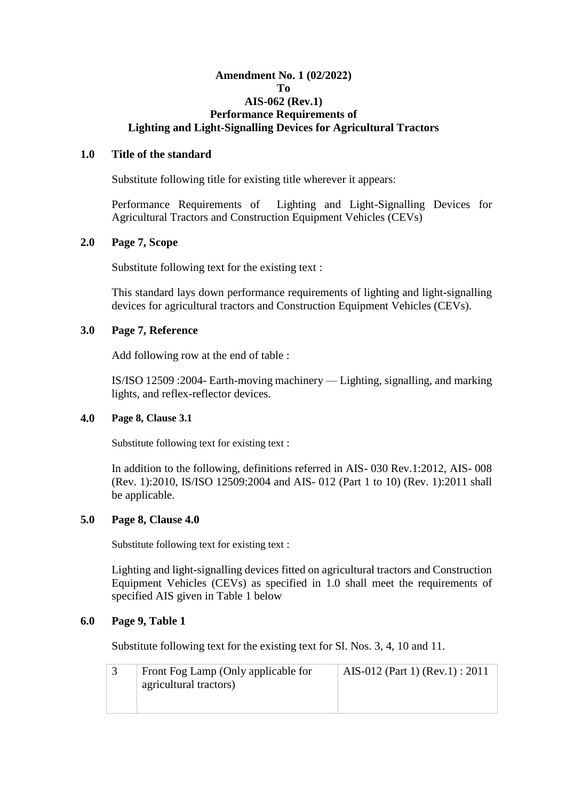## **Amendment No. 1 (02/2022) To AIS-062 (Rev.1) Performance Requirements of Lighting and Light-Signalling Devices for Agricultural Tractors**

## **1.0 Title of the standard**

Substitute following title for existing title wherever it appears:

Performance Requirements of Lighting and Light-Signalling Devices for Agricultural Tractors and Construction Equipment Vehicles (CEVs)

## **2.0 Page 7, Scope**

Substitute following text for the existing text :

This standard lays down performance requirements of lighting and light-signalling devices for agricultural tractors and Construction Equipment Vehicles (CEVs).

## **3.0 Page 7, Reference**

Add following row at the end of table :

IS/ISO 12509 :2004- Earth-moving machinery — Lighting, signalling, and marking lights, and reflex-reflector devices.

## **4.0 Page 8, Clause 3.1**

Substitute following text for existing text :

In addition to the following, definitions referred in AIS- 030 Rev.1:2012, AIS- 008 (Rev. 1):2010, IS/ISO 12509:2004 and AIS- 012 (Part 1 to 10) (Rev. 1):2011 shall be applicable.

## **5.0 Page 8, Clause 4.0**

Substitute following text for existing text :

Lighting and light-signalling devices fitted on agricultural tractors and Construction Equipment Vehicles (CEVs) as specified in 1.0 shall meet the requirements of specified AIS given in Table 1 below

## **6.0 Page 9, Table 1**

Substitute following text for the existing text for Sl. Nos. 3, 4, 10 and 11.

| Front Fog Lamp (Only applicable for | AIS-012 (Part 1) (Rev.1) : 2011 |
|-------------------------------------|---------------------------------|
| agricultural tractors)              |                                 |
|                                     |                                 |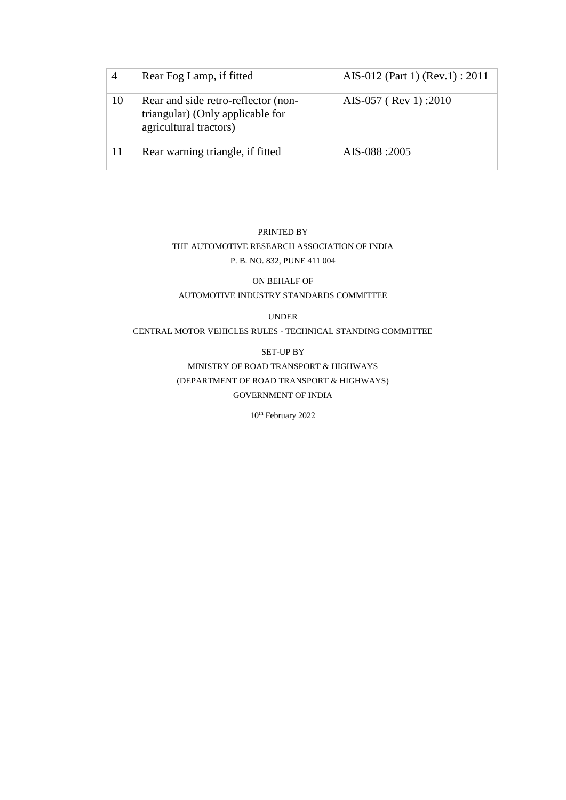|    | Rear Fog Lamp, if fitted                                                                          | AIS-012 (Part 1) (Rev.1) : 2011 |
|----|---------------------------------------------------------------------------------------------------|---------------------------------|
| 10 | Rear and side retro-reflector (non-<br>triangular) (Only applicable for<br>agricultural tractors) | AIS-057 (Rev 1):2010            |
| 11 | Rear warning triangle, if fitted                                                                  | AIS-088:2005                    |

## PRINTED BY THE AUTOMOTIVE RESEARCH ASSOCIATION OF INDIA P. B. NO. 832, PUNE 411 004

## ON BEHALF OF AUTOMOTIVE INDUSTRY STANDARDS COMMITTEE

## UNDER

CENTRAL MOTOR VEHICLES RULES - TECHNICAL STANDING COMMITTEE

#### SET-UP BY

MINISTRY OF ROAD TRANSPORT & HIGHWAYS (DEPARTMENT OF ROAD TRANSPORT & HIGHWAYS) GOVERNMENT OF INDIA

10<sup>th</sup> February 2022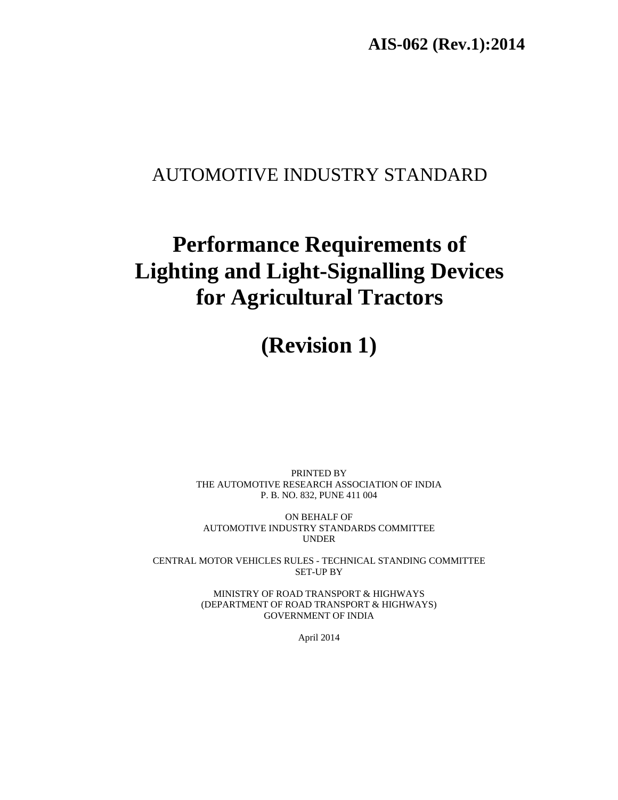**AIS-062 (Rev.1):2014** 

## AUTOMOTIVE INDUSTRY STANDARD

# **Performance Requirements of Lighting and Light-Signalling Devices for Agricultural Tractors**

## **(Revision 1)**

PRINTED BY THE AUTOMOTIVE RESEARCH ASSOCIATION OF INDIA P. B. NO. 832, PUNE 411 004

ON BEHALF OF AUTOMOTIVE INDUSTRY STANDARDS COMMITTEE UNDER

CENTRAL MOTOR VEHICLES RULES - TECHNICAL STANDING COMMITTEE SET-UP BY

> MINISTRY OF ROAD TRANSPORT & HIGHWAYS (DEPARTMENT OF ROAD TRANSPORT & HIGHWAYS) GOVERNMENT OF INDIA

> > April 2014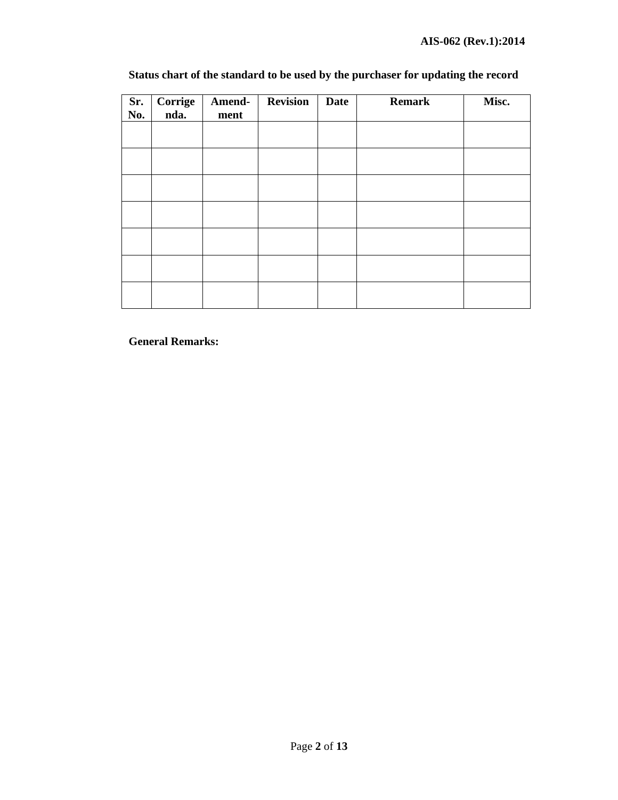| Status chart of the standard to be used by the purchaser for updating the record |
|----------------------------------------------------------------------------------|
|----------------------------------------------------------------------------------|

| Sr.<br>No. | Corrige<br>nda. | Amend-<br>ment | <b>Revision</b> | <b>Date</b> | <b>Remark</b> | Misc. |
|------------|-----------------|----------------|-----------------|-------------|---------------|-------|
|            |                 |                |                 |             |               |       |
|            |                 |                |                 |             |               |       |
|            |                 |                |                 |             |               |       |
|            |                 |                |                 |             |               |       |
|            |                 |                |                 |             |               |       |
|            |                 |                |                 |             |               |       |
|            |                 |                |                 |             |               |       |

**General Remarks:**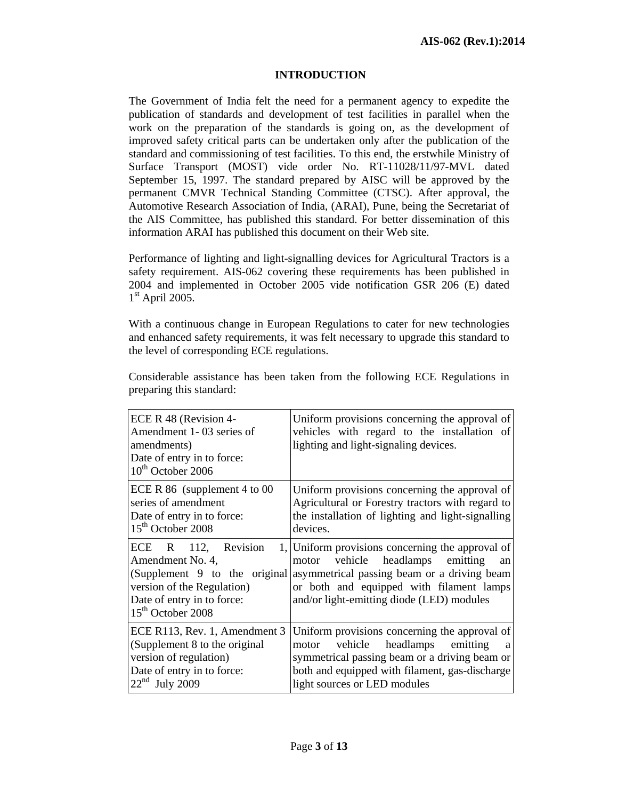## **INTRODUCTION**

The Government of India felt the need for a permanent agency to expedite the publication of standards and development of test facilities in parallel when the work on the preparation of the standards is going on, as the development of improved safety critical parts can be undertaken only after the publication of the standard and commissioning of test facilities. To this end, the erstwhile Ministry of Surface Transport (MOST) vide order No. RT-11028/11/97-MVL dated September 15, 1997. The standard prepared by AISC will be approved by the permanent CMVR Technical Standing Committee (CTSC). After approval, the Automotive Research Association of India, (ARAI), Pune, being the Secretariat of the AIS Committee, has published this standard. For better dissemination of this information ARAI has published this document on their Web site.

Performance of lighting and light-signalling devices for Agricultural Tractors is a safety requirement. AIS-062 covering these requirements has been published in 2004 and implemented in October 2005 vide notification GSR 206 (E) dated  $1<sup>st</sup>$  April 2005.

With a continuous change in European Regulations to cater for new technologies and enhanced safety requirements, it was felt necessary to upgrade this standard to the level of corresponding ECE regulations.

| ECE R 48 (Revision 4-<br>Amendment 1-03 series of<br>amendments)<br>Date of entry in to force:<br>$10th$ October 2006                      | Uniform provisions concerning the approval of<br>vehicles with regard to the installation of<br>lighting and light-signaling devices.                                                                                        |
|--------------------------------------------------------------------------------------------------------------------------------------------|------------------------------------------------------------------------------------------------------------------------------------------------------------------------------------------------------------------------------|
| ECE R $86$ (supplement 4 to 00)                                                                                                            | Uniform provisions concerning the approval of                                                                                                                                                                                |
| series of amendment                                                                                                                        | Agricultural or Forestry tractors with regard to                                                                                                                                                                             |
| Date of entry in to force:                                                                                                                 | the installation of lighting and light-signalling                                                                                                                                                                            |
| 15 <sup>th</sup> October 2008                                                                                                              | devices.                                                                                                                                                                                                                     |
| 112, Revision                                                                                                                              | 1, Uniform provisions concerning the approval of                                                                                                                                                                             |
| ECE R                                                                                                                                      | motor vehicle headlamps emitting                                                                                                                                                                                             |
| Amendment No. 4,                                                                                                                           | an                                                                                                                                                                                                                           |
| version of the Regulation)                                                                                                                 | (Supplement 9 to the original asymmetrical passing beam or a driving beam                                                                                                                                                    |
| Date of entry in to force:                                                                                                                 | or both and equipped with filament lamps                                                                                                                                                                                     |
| $15th$ October 2008                                                                                                                        | and/or light-emitting diode (LED) modules                                                                                                                                                                                    |
| ECE R113, Rev. 1, Amendment 3<br>(Supplement 8 to the original<br>version of regulation)<br>Date of entry in to force:<br>$22nd$ July 2009 | Uniform provisions concerning the approval of<br>vehicle headlamps emitting<br>motor<br>a<br>symmetrical passing beam or a driving beam or<br>both and equipped with filament, gas-discharge<br>light sources or LED modules |

Considerable assistance has been taken from the following ECE Regulations in preparing this standard: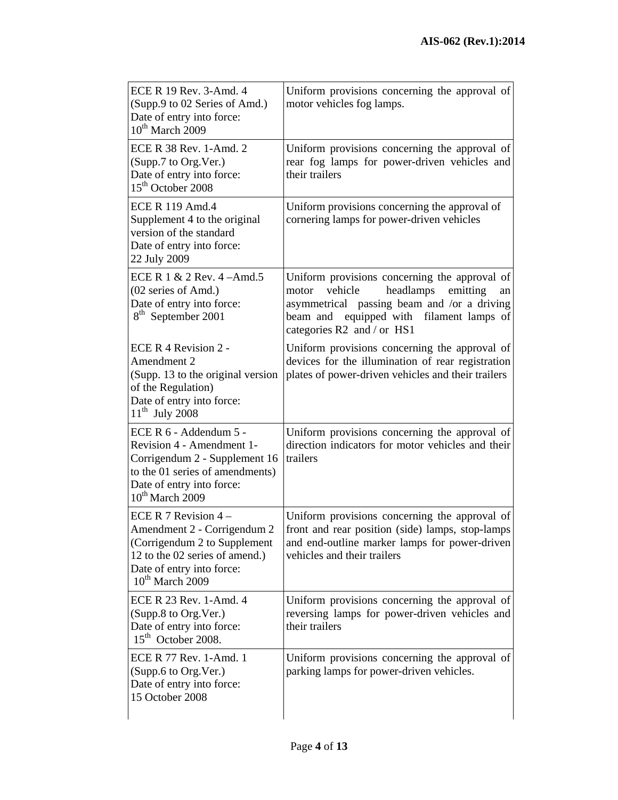| ECE R 19 Rev. 3-Amd. 4<br>(Supp.9 to 02 Series of Amd.)<br>Date of entry into force:<br>$10^{th}$ March 2009                                                                 | Uniform provisions concerning the approval of<br>motor vehicles fog lamps.                                                                                                                                                |
|------------------------------------------------------------------------------------------------------------------------------------------------------------------------------|---------------------------------------------------------------------------------------------------------------------------------------------------------------------------------------------------------------------------|
| ECE R 38 Rev. 1-Amd. 2<br>(Supp.7 to Org.Ver.)<br>Date of entry into force:<br>15 <sup>th</sup> October 2008                                                                 | Uniform provisions concerning the approval of<br>rear fog lamps for power-driven vehicles and<br>their trailers                                                                                                           |
| <b>ECE R 119 Amd.4</b><br>Supplement 4 to the original<br>version of the standard<br>Date of entry into force:<br>22 July 2009                                               | Uniform provisions concerning the approval of<br>cornering lamps for power-driven vehicles                                                                                                                                |
| ECE R $1 \& 2$ Rev. $4 -$ Amd. 5<br>(02 series of Amd.)<br>Date of entry into force:<br>8 <sup>th</sup> September 2001                                                       | Uniform provisions concerning the approval of<br>vehicle<br>emitting<br>headlamps<br>motor<br>an<br>asymmetrical passing beam and /or a driving<br>beam and equipped with filament lamps of<br>categories R2 and / or HS1 |
| ECE R 4 Revision 2 -<br>Amendment 2<br>(Supp. 13 to the original version<br>of the Regulation)<br>Date of entry into force:<br>$11th$ July 2008                              | Uniform provisions concerning the approval of<br>devices for the illumination of rear registration<br>plates of power-driven vehicles and their trailers                                                                  |
| ECE R 6 - Addendum 5 -<br>Revision 4 - Amendment 1-<br>Corrigendum 2 - Supplement 16<br>to the 01 series of amendments)<br>Date of entry into force:<br>$10^{th}$ March 2009 | Uniform provisions concerning the approval of<br>direction indicators for motor vehicles and their<br>trailers                                                                                                            |
| ECE R 7 Revision $4 -$<br>Amendment 2 - Corrigendum 2<br>(Corrigendum 2 to Supplement<br>12 to the 02 series of amend.)<br>Date of entry into force:<br>$10^{th}$ March 2009 | Uniform provisions concerning the approval of<br>front and rear position (side) lamps, stop-lamps<br>and end-outline marker lamps for power-driven<br>vehicles and their trailers                                         |
| ECE R 23 Rev. 1-Amd. 4<br>(Supp.8 to Org.Ver.)<br>Date of entry into force:<br>$15th$ October 2008.                                                                          | Uniform provisions concerning the approval of<br>reversing lamps for power-driven vehicles and<br>their trailers                                                                                                          |
| ECE R 77 Rev. 1-Amd. 1<br>(Supp.6 to Org.Ver.)<br>Date of entry into force:<br>15 October 2008                                                                               | Uniform provisions concerning the approval of<br>parking lamps for power-driven vehicles.                                                                                                                                 |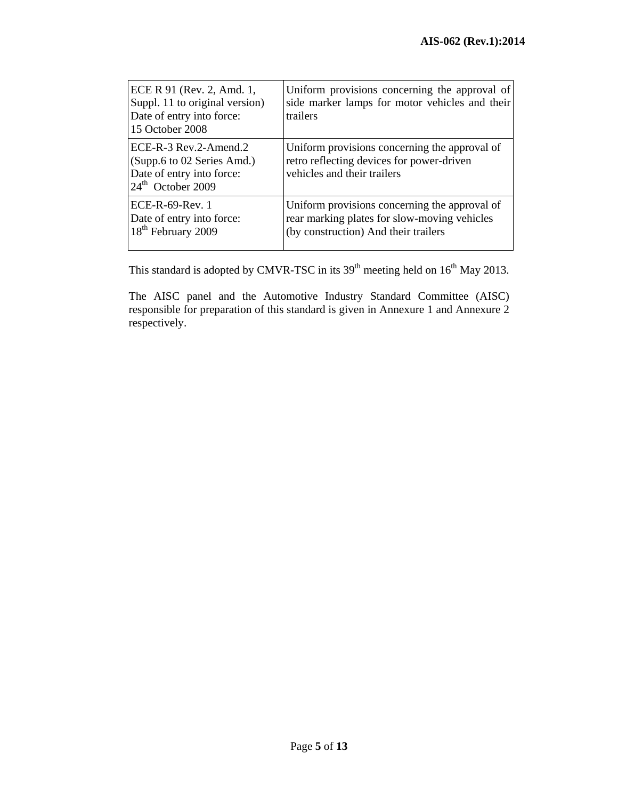| ECE R 91 (Rev. 2, Amd. 1,<br>Suppl. 11 to original version)<br>Date of entry into force:<br>15 October 2008           | Uniform provisions concerning the approval of<br>side marker lamps for motor vehicles and their<br>trailers                           |
|-----------------------------------------------------------------------------------------------------------------------|---------------------------------------------------------------------------------------------------------------------------------------|
| $ECE-R-3$ Rev. 2-Amend. 2<br>(Supp.6 to 02 Series Amd.)<br>Date of entry into force:<br>$24^{\text{th}}$ October 2009 | Uniform provisions concerning the approval of<br>retro reflecting devices for power-driven<br>vehicles and their trailers             |
| $ECE-R-69-Rev.$ 1<br>Date of entry into force:<br>18 <sup>th</sup> February 2009                                      | Uniform provisions concerning the approval of<br>rear marking plates for slow-moving vehicles<br>(by construction) And their trailers |

This standard is adopted by CMVR-TSC in its  $39<sup>th</sup>$  meeting held on  $16<sup>th</sup>$  May 2013.

The AISC panel and the Automotive Industry Standard Committee (AISC) responsible for preparation of this standard is given in Annexure 1 and Annexure 2 respectively.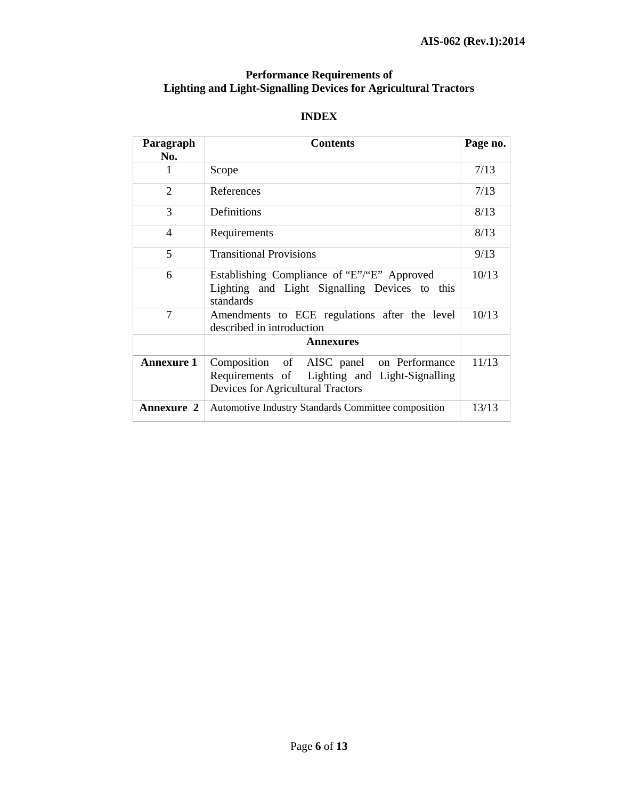#### **Performance Requirements of Lighting and Light-Signalling Devices for Agricultural Tractors**

#### **INDEX**

| Paragraph                | <b>Contents</b>                                                                                                                |       |  |
|--------------------------|--------------------------------------------------------------------------------------------------------------------------------|-------|--|
| No.                      |                                                                                                                                |       |  |
|                          | Scope                                                                                                                          |       |  |
| 2                        | References                                                                                                                     | 7/13  |  |
| 3                        | Definitions                                                                                                                    | 8/13  |  |
| $\overline{\mathcal{A}}$ | Requirements                                                                                                                   |       |  |
| 5                        | <b>Transitional Provisions</b>                                                                                                 |       |  |
| 6                        | Establishing Compliance of "E"/"E" Approved<br>Lighting and Light Signalling Devices to this<br>standards                      |       |  |
| 7                        | Amendments to ECE regulations after the level<br>described in introduction                                                     |       |  |
|                          | <b>Annexures</b>                                                                                                               |       |  |
| <b>Annexure 1</b>        | Composition of AISC panel on Performance<br>Requirements of Lighting and Light-Signalling<br>Devices for Agricultural Tractors | 11/13 |  |
| <b>Annexure 2</b>        | Automotive Industry Standards Committee composition                                                                            | 13/13 |  |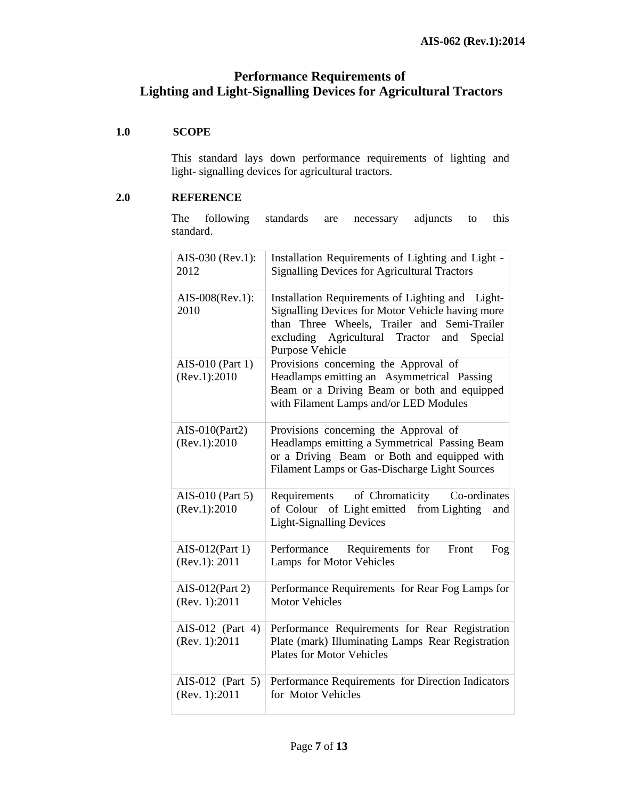## **Performance Requirements of Lighting and Light-Signalling Devices for Agricultural Tractors**

## **1.0 SCOPE**

 This standard lays down performance requirements of lighting and light- signalling devices for agricultural tractors.

#### **2.0 REFERENCE**

The following standards are necessary adjuncts to this standard.

| AIS-030 (Rev.1):<br>2012             | Installation Requirements of Lighting and Light -<br><b>Signalling Devices for Agricultural Tractors</b>                                                                                                                   |
|--------------------------------------|----------------------------------------------------------------------------------------------------------------------------------------------------------------------------------------------------------------------------|
| AIS-008(Rev.1):<br>2010              | Installation Requirements of Lighting and Light-<br>Signalling Devices for Motor Vehicle having more<br>than Three Wheels, Trailer and Semi-Trailer<br>excluding Agricultural Tractor<br>and<br>Special<br>Purpose Vehicle |
| AIS-010 (Part 1)<br>(Rev.1): 2010    | Provisions concerning the Approval of<br>Headlamps emitting an Asymmetrical Passing<br>Beam or a Driving Beam or both and equipped<br>with Filament Lamps and/or LED Modules                                               |
| $AIS-010(Part2)$<br>(Rev.1): 2010    | Provisions concerning the Approval of<br>Headlamps emitting a Symmetrical Passing Beam<br>or a Driving Beam or Both and equipped with<br>Filament Lamps or Gas-Discharge Light Sources                                     |
| AIS-010 (Part 5)<br>(Rev.1): 2010    | of Chromaticity<br>Co-ordinates<br>Requirements<br>of Light emitted from Lighting<br>of Colour<br>and<br><b>Light-Signalling Devices</b>                                                                                   |
| $AIS-012(Part 1)$<br>(Rev.1): 2011   | Performance<br>Requirements for<br>Front<br>Fog<br>Lamps for Motor Vehicles                                                                                                                                                |
| AIS-012(Part 2)<br>(Rev. 1):2011     | Performance Requirements for Rear Fog Lamps for<br><b>Motor Vehicles</b>                                                                                                                                                   |
| AIS-012 (Part 4)<br>(Rev. 1):2011    | Performance Requirements for Rear Registration<br>Plate (mark) Illuminating Lamps Rear Registration<br><b>Plates for Motor Vehicles</b>                                                                                    |
| AIS-012 (Part $5$ )<br>(Rev. 1):2011 | Performance Requirements for Direction Indicators<br>for Motor Vehicles                                                                                                                                                    |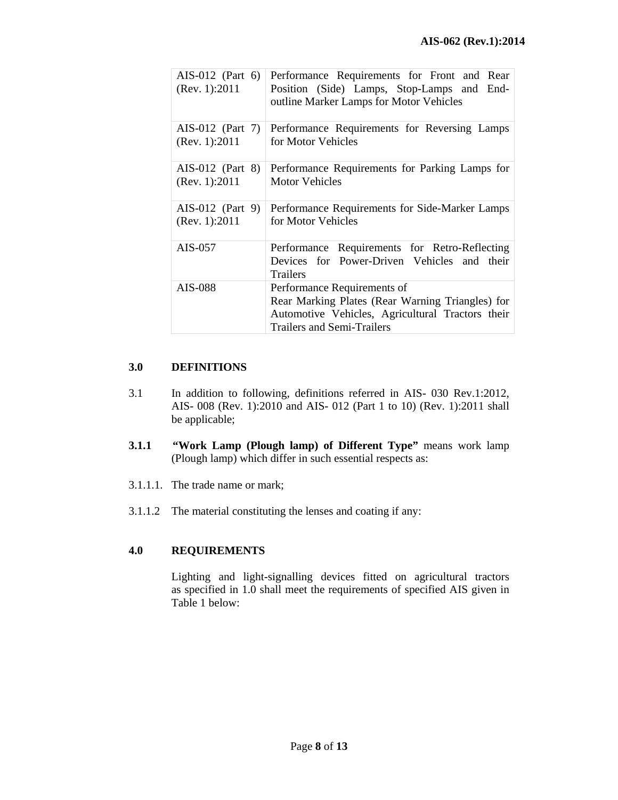| AIS-012 (Part 6)<br>(Rev. 1):2011 | Performance Requirements for Front and Rear<br>Position (Side) Lamps, Stop-Lamps and End-<br>outline Marker Lamps for Motor Vehicles                                     |
|-----------------------------------|--------------------------------------------------------------------------------------------------------------------------------------------------------------------------|
| AIS-012 (Part $7$ )               | Performance Requirements for Reversing Lamps                                                                                                                             |
| (Rev. 1):2011                     | for Motor Vehicles                                                                                                                                                       |
| $AIS-012$ (Part 8)                | Performance Requirements for Parking Lamps for                                                                                                                           |
| (Rev. 1):2011                     | <b>Motor Vehicles</b>                                                                                                                                                    |
| $AIS-012$ (Part 9)                | Performance Requirements for Side-Marker Lamps                                                                                                                           |
| (Rev. 1): 2011                    | for Motor Vehicles                                                                                                                                                       |
| AIS-057                           | Performance Requirements for Retro-Reflecting<br>Devices for Power-Driven Vehicles and their<br><b>Trailers</b>                                                          |
| AIS-088                           | Performance Requirements of<br>Rear Marking Plates (Rear Warning Triangles) for<br>Automotive Vehicles, Agricultural Tractors their<br><b>Trailers and Semi-Trailers</b> |

## **3.0 DEFINITIONS**

- 3.1 In addition to following, definitions referred in AIS- 030 Rev.1:2012, AIS- 008 (Rev. 1):2010 and AIS- 012 (Part 1 to 10) (Rev. 1):2011 shall be applicable;
- **3.1.1 "Work Lamp (Plough lamp) of Different Type"** means work lamp (Plough lamp) which differ in such essential respects as:
- 3.1.1.1. The trade name or mark;
- 3.1.1.2 The material constituting the lenses and coating if any:

## **4.0 REQUIREMENTS**

 Lighting and light-signalling devices fitted on agricultural tractors as specified in 1.0 shall meet the requirements of specified AIS given in Table 1 below: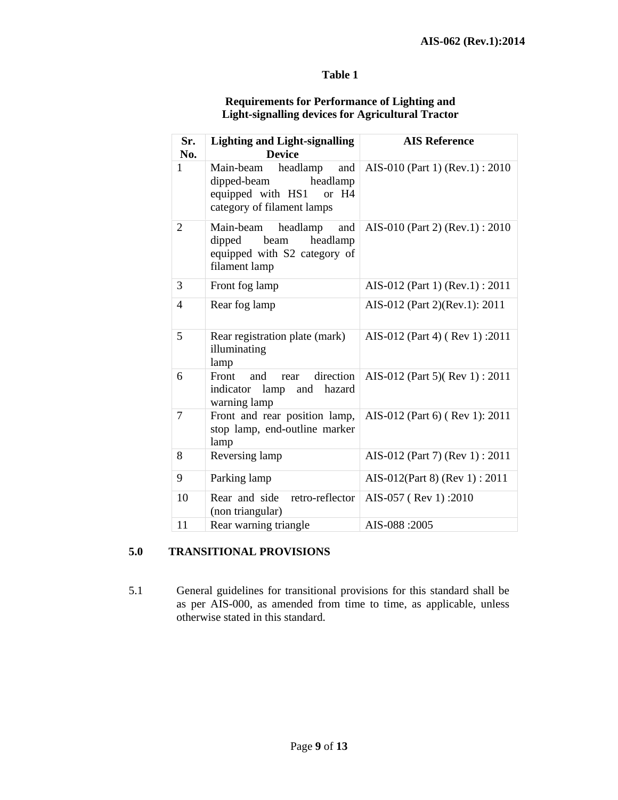#### **Table 1**

## **Requirements for Performance of Lighting and Light-signalling devices for Agricultural Tractor**

| Sr.<br>No.     | <b>Lighting and Light-signalling</b><br><b>Device</b>                                                               | <b>AIS Reference</b>            |
|----------------|---------------------------------------------------------------------------------------------------------------------|---------------------------------|
| $\mathbf{1}$   | headlamp<br>and<br>Main-beam<br>headlamp<br>dipped-beam<br>equipped with HS1<br>or H4<br>category of filament lamps | AIS-010 (Part 1) (Rev.1): 2010  |
| $\overline{2}$ | headlamp<br>Main-beam<br>and<br>beam<br>headlamp<br>dipped<br>equipped with S2 category of<br>filament lamp         | AIS-010 (Part 2) (Rev.1): 2010  |
| 3              | Front fog lamp                                                                                                      | AIS-012 (Part 1) (Rev.1) : 2011 |
| 4              | Rear fog lamp                                                                                                       | AIS-012 (Part 2)(Rev.1): 2011   |
| 5              | Rear registration plate (mark)<br>illuminating<br>lamp                                                              | AIS-012 (Part 4) (Rev 1):2011   |
| 6              | direction<br>Front<br>and<br>rear<br>hazard<br>indicator lamp and<br>warning lamp                                   | AIS-012 (Part 5)(Rev 1): 2011   |
| 7              | Front and rear position lamp,<br>stop lamp, end-outline marker<br>lamp                                              | AIS-012 (Part 6) (Rev 1): 2011  |
| 8              | Reversing lamp                                                                                                      | AIS-012 (Part 7) (Rev 1) : 2011 |
| 9              | Parking lamp                                                                                                        | AIS-012(Part 8) (Rev 1): 2011   |
| 10             | retro-reflector<br>Rear and side<br>(non triangular)                                                                | AIS-057 (Rev 1):2010            |
| 11             | Rear warning triangle                                                                                               | AIS-088:2005                    |

## **5.0 TRANSITIONAL PROVISIONS**

5.1 General guidelines for transitional provisions for this standard shall be as per AIS-000, as amended from time to time, as applicable, unless otherwise stated in this standard.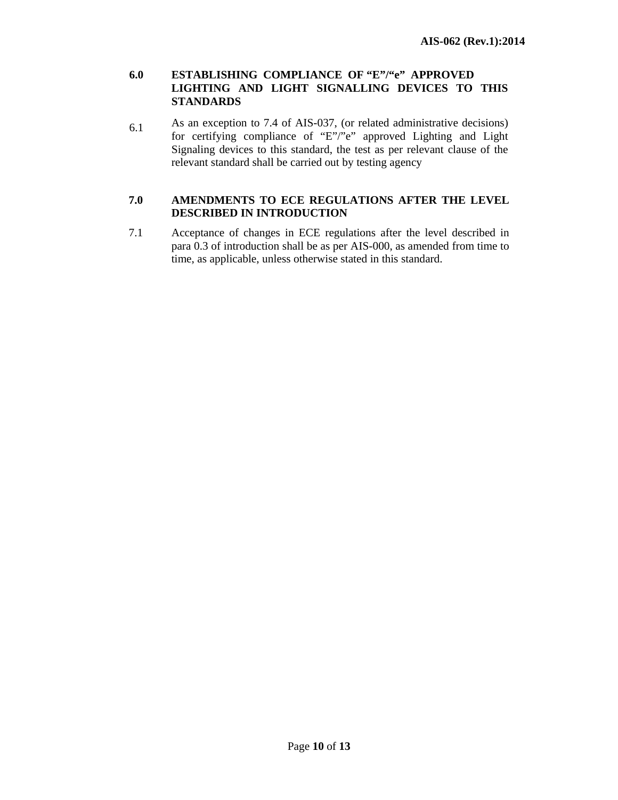#### **6.0 ESTABLISHING COMPLIANCE OF "E"/"e" APPROVED LIGHTING AND LIGHT SIGNALLING DEVICES TO THIS STANDARDS**

6.1 As an exception to 7.4 of AIS-037, (or related administrative decisions) for certifying compliance of "E"/"e" approved Lighting and Light Signaling devices to this standard, the test as per relevant clause of the relevant standard shall be carried out by testing agency

## **7.0 AMENDMENTS TO ECE REGULATIONS AFTER THE LEVEL DESCRIBED IN INTRODUCTION**

7.1 Acceptance of changes in ECE regulations after the level described in para 0.3 of introduction shall be as per AIS-000, as amended from time to time, as applicable, unless otherwise stated in this standard.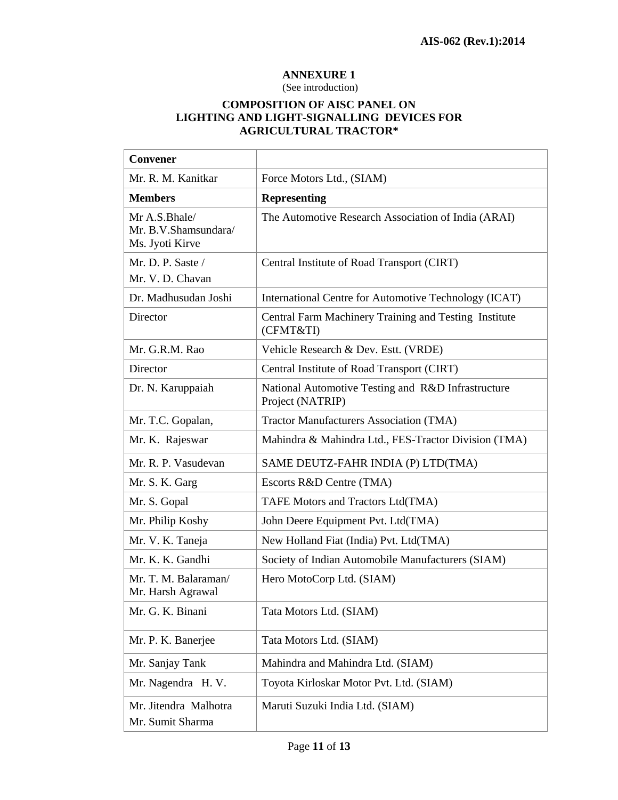## **ANNEXURE 1**

(See introduction)

## **COMPOSITION OF AISC PANEL ON LIGHTING AND LIGHT-SIGNALLING DEVICES FOR AGRICULTURAL TRACTOR\***

| Convener                                                 |                                                                        |  |
|----------------------------------------------------------|------------------------------------------------------------------------|--|
| Mr. R. M. Kanitkar                                       | Force Motors Ltd., (SIAM)                                              |  |
| <b>Members</b>                                           | <b>Representing</b>                                                    |  |
| Mr A.S.Bhale/<br>Mr. B.V.Shamsundara/<br>Ms. Jyoti Kirve | The Automotive Research Association of India (ARAI)                    |  |
| Mr. D. P. Saste /<br>Mr. V. D. Chavan                    | Central Institute of Road Transport (CIRT)                             |  |
| Dr. Madhusudan Joshi                                     | International Centre for Automotive Technology (ICAT)                  |  |
| Director                                                 | Central Farm Machinery Training and Testing Institute<br>(CFMT&TI)     |  |
| Mr. G.R.M. Rao                                           | Vehicle Research & Dev. Estt. (VRDE)                                   |  |
| Director                                                 | Central Institute of Road Transport (CIRT)                             |  |
| Dr. N. Karuppaiah                                        | National Automotive Testing and R&D Infrastructure<br>Project (NATRIP) |  |
| Mr. T.C. Gopalan,                                        | <b>Tractor Manufacturers Association (TMA)</b>                         |  |
| Mr. K. Rajeswar                                          | Mahindra & Mahindra Ltd., FES-Tractor Division (TMA)                   |  |
| Mr. R. P. Vasudevan                                      | SAME DEUTZ-FAHR INDIA (P) LTD(TMA)                                     |  |
| Mr. S. K. Garg                                           | Escorts R&D Centre (TMA)                                               |  |
| Mr. S. Gopal                                             | TAFE Motors and Tractors Ltd(TMA)                                      |  |
| Mr. Philip Koshy                                         | John Deere Equipment Pvt. Ltd(TMA)                                     |  |
| Mr. V. K. Taneja                                         | New Holland Fiat (India) Pvt. Ltd(TMA)                                 |  |
| Mr. K. K. Gandhi                                         | Society of Indian Automobile Manufacturers (SIAM)                      |  |
| Mr. T. M. Balaraman/<br>Mr. Harsh Agrawal                | Hero MotoCorp Ltd. (SIAM)                                              |  |
| Mr. G. K. Binani                                         | Tata Motors Ltd. (SIAM)                                                |  |
| Mr. P. K. Banerjee                                       | Tata Motors Ltd. (SIAM)                                                |  |
| Mr. Sanjay Tank                                          | Mahindra and Mahindra Ltd. (SIAM)                                      |  |
| Mr. Nagendra H. V.                                       | Toyota Kirloskar Motor Pvt. Ltd. (SIAM)                                |  |
| Mr. Jitendra Malhotra<br>Mr. Sumit Sharma                | Maruti Suzuki India Ltd. (SIAM)                                        |  |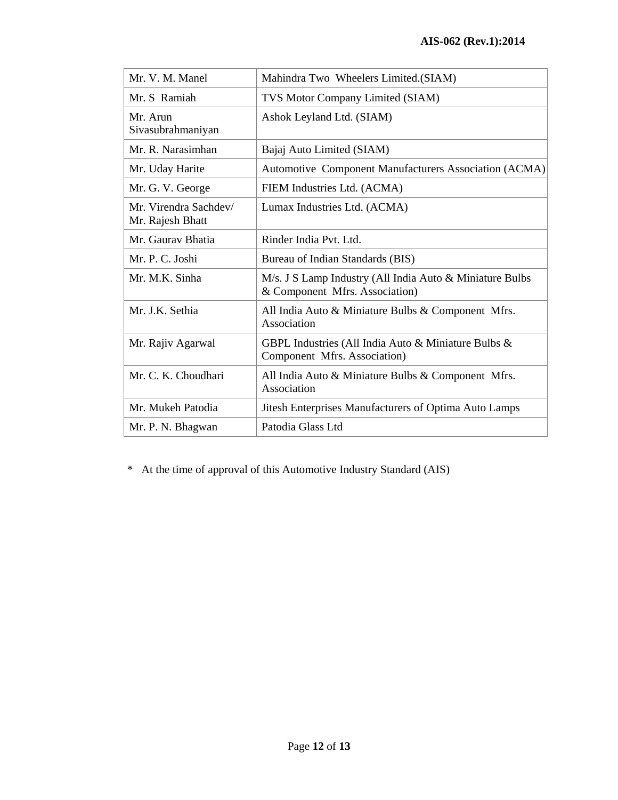| Mr. V. M. Manel                           | Mahindra Two Wheelers Limited.(SIAM)                                                       |
|-------------------------------------------|--------------------------------------------------------------------------------------------|
| Mr. S Ramiah                              | TVS Motor Company Limited (SIAM)                                                           |
| Mr. Arun<br>Sivasubrahmaniyan             | Ashok Leyland Ltd. (SIAM)                                                                  |
| Mr. R. Narasimhan                         | Bajaj Auto Limited (SIAM)                                                                  |
| Mr. Uday Harite                           | Automotive Component Manufacturers Association (ACMA)                                      |
| Mr. G. V. George                          | FIEM Industries Ltd. (ACMA)                                                                |
| Mr. Virendra Sachdev/<br>Mr. Rajesh Bhatt | Lumax Industries Ltd. (ACMA)                                                               |
| Mr. Gauray Bhatia                         | Rinder India Pvt. Ltd.                                                                     |
| Mr. P. C. Joshi                           | Bureau of Indian Standards (BIS)                                                           |
| Mr. M.K. Sinha                            | M/s. J S Lamp Industry (All India Auto & Miniature Bulbs<br>& Component Mfrs. Association) |
| Mr. J.K. Sethia                           | All India Auto & Miniature Bulbs & Component Mfrs.<br>Association                          |
| Mr. Rajiv Agarwal                         | GBPL Industries (All India Auto & Miniature Bulbs &<br>Component Mfrs. Association)        |
| Mr. C. K. Choudhari                       | All India Auto & Miniature Bulbs & Component Mfrs.<br>Association                          |
| Mr. Mukeh Patodia                         | Jitesh Enterprises Manufacturers of Optima Auto Lamps                                      |
| Mr. P. N. Bhagwan                         | Patodia Glass Ltd                                                                          |

\* At the time of approval of this Automotive Industry Standard (AIS)